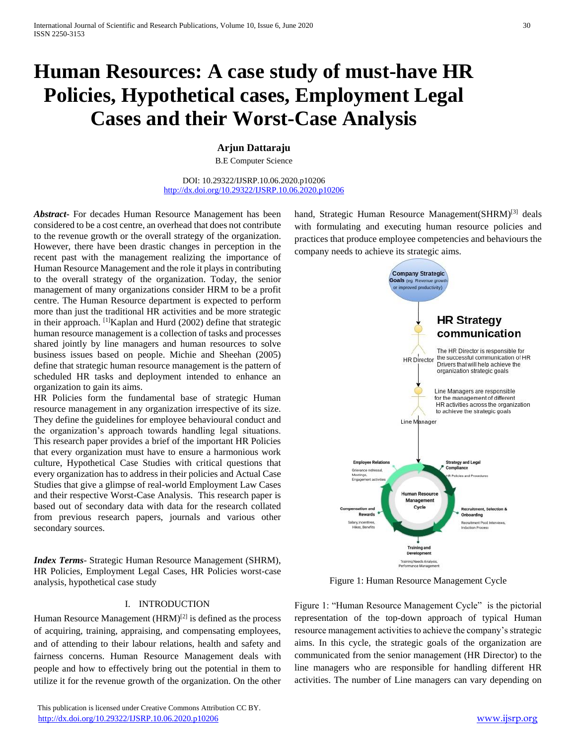# **Human Resources: A case study of must-have HR Policies, Hypothetical cases, Employment Legal Cases and their Worst-Case Analysis**

**Arjun Dattaraju**

B.E Computer Science

DOI: 10.29322/IJSRP.10.06.2020.p10206 <http://dx.doi.org/10.29322/IJSRP.10.06.2020.p10206>

*Abstract***-** For decades Human Resource Management has been considered to be a cost centre, an overhead that does not contribute to the revenue growth or the overall strategy of the organization. However, there have been drastic changes in perception in the recent past with the management realizing the importance of Human Resource Management and the role it plays in contributing to the overall strategy of the organization. Today, the senior management of many organizations consider HRM to be a profit centre. The Human Resource department is expected to perform more than just the traditional HR activities and be more strategic in their approach.  $\left[1\right]$ Kaplan and Hurd (2002) define that strategic human resource management is a collection of tasks and processes shared jointly by line managers and human resources to solve business issues based on people. Michie and Sheehan (2005) define that strategic human resource management is the pattern of scheduled HR tasks and deployment intended to enhance an organization to gain its aims.

HR Policies form the fundamental base of strategic Human resource management in any organization irrespective of its size. They define the guidelines for employee behavioural conduct and the organization's approach towards handling legal situations. This research paper provides a brief of the important HR Policies that every organization must have to ensure a harmonious work culture, Hypothetical Case Studies with critical questions that every organization has to address in their policies and Actual Case Studies that give a glimpse of real-world Employment Law Cases and their respective Worst-Case Analysis. This research paper is based out of secondary data with data for the research collated from previous research papers, journals and various other secondary sources.

*Index Terms*- Strategic Human Resource Management (SHRM), HR Policies, Employment Legal Cases, HR Policies worst-case analysis, hypothetical case study

### I. INTRODUCTION

Human Resource Management  $(HRM)^{[2]}$  is defined as the process of acquiring, training, appraising, and compensating employees, and of attending to their labour relations, health and safety and fairness concerns. Human Resource Management deals with people and how to effectively bring out the potential in them to utilize it for the revenue growth of the organization. On the other

 This publication is licensed under Creative Commons Attribution CC BY. <http://dx.doi.org/10.29322/IJSRP.10.06.2020.p10206> [www.ijsrp.org](http://ijsrp.org/)

hand, Strategic Human Resource Management(SHRM)<sup>[3]</sup> deals with formulating and executing human resource policies and practices that produce employee competencies and behaviours the company needs to achieve its strategic aims.



Figure 1: Human Resource Management Cycle

Figure 1: "Human Resource Management Cycle" is the pictorial representation of the top-down approach of typical Human resource management activities to achieve the company's strategic aims. In this cycle, the strategic goals of the organization are communicated from the senior management (HR Director) to the line managers who are responsible for handling different HR activities. The number of Line managers can vary depending on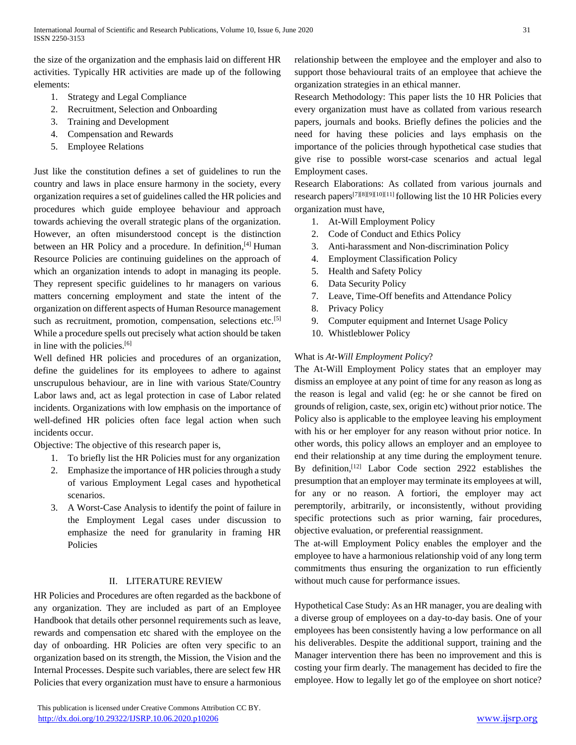the size of the organization and the emphasis laid on different HR activities. Typically HR activities are made up of the following elements:

- 1. Strategy and Legal Compliance
- 2. Recruitment, Selection and Onboarding
- 3. Training and Development
- 4. Compensation and Rewards
- 5. Employee Relations

Just like the constitution defines a set of guidelines to run the country and laws in place ensure harmony in the society, every organization requires a set of guidelines called the HR policies and procedures which guide employee behaviour and approach towards achieving the overall strategic plans of the organization. However, an often misunderstood concept is the distinction between an HR Policy and a procedure. In definition,<sup>[4]</sup> Human Resource Policies are continuing guidelines on the approach of which an organization intends to adopt in managing its people. They represent specific guidelines to hr managers on various matters concerning employment and state the intent of the organization on different aspects of Human Resource management such as recruitment, promotion, compensation, selections etc.<sup>[5]</sup> While a procedure spells out precisely what action should be taken in line with the policies.[6]

Well defined HR policies and procedures of an organization, define the guidelines for its employees to adhere to against unscrupulous behaviour, are in line with various State/Country Labor laws and, act as legal protection in case of Labor related incidents. Organizations with low emphasis on the importance of well-defined HR policies often face legal action when such incidents occur.

Objective: The objective of this research paper is,

- 1. To briefly list the HR Policies must for any organization
- 2. Emphasize the importance of HR policies through a study of various Employment Legal cases and hypothetical scenarios.
- 3. A Worst-Case Analysis to identify the point of failure in the Employment Legal cases under discussion to emphasize the need for granularity in framing HR Policies

## II. LITERATURE REVIEW

HR Policies and Procedures are often regarded as the backbone of any organization. They are included as part of an Employee Handbook that details other personnel requirements such as leave, rewards and compensation etc shared with the employee on the day of onboarding. HR Policies are often very specific to an organization based on its strength, the Mission, the Vision and the Internal Processes. Despite such variables, there are select few HR Policies that every organization must have to ensure a harmonious

relationship between the employee and the employer and also to support those behavioural traits of an employee that achieve the organization strategies in an ethical manner.

Research Methodology: This paper lists the 10 HR Policies that every organization must have as collated from various research papers, journals and books. Briefly defines the policies and the need for having these policies and lays emphasis on the importance of the policies through hypothetical case studies that give rise to possible worst-case scenarios and actual legal Employment cases.

Research Elaborations: As collated from various journals and research papers[7][8][9][10][11] following list the 10 HR Policies every organization must have,

- 1. At-Will Employment Policy
- 2. Code of Conduct and Ethics Policy
- 3. Anti-harassment and Non-discrimination Policy
- 4. Employment Classification Policy
- 5. Health and Safety Policy
- 6. Data Security Policy
- 7. Leave, Time-Off benefits and Attendance Policy
- 8. Privacy Policy
- 9. Computer equipment and Internet Usage Policy
- 10. Whistleblower Policy

## What is *At-Will Employment Policy*?

The At-Will Employment Policy states that an employer may dismiss an employee at any point of time for any reason as long as the reason is legal and valid (eg: he or she cannot be fired on grounds of religion, caste, sex, origin etc) without prior notice. The Policy also is applicable to the employee leaving his employment with his or her employer for any reason without prior notice. In other words, this policy allows an employer and an employee to end their relationship at any time during the employment tenure. By definition,[12] Labor Code section 2922 establishes the presumption that an employer may terminate its employees at will, for any or no reason. A fortiori, the employer may act peremptorily, arbitrarily, or inconsistently, without providing specific protections such as prior warning, fair procedures, objective evaluation, or preferential reassignment.

The at-will Employment Policy enables the employer and the employee to have a harmonious relationship void of any long term commitments thus ensuring the organization to run efficiently without much cause for performance issues.

Hypothetical Case Study: As an HR manager, you are dealing with a diverse group of employees on a day-to-day basis. One of your employees has been consistently having a low performance on all his deliverables. Despite the additional support, training and the Manager intervention there has been no improvement and this is costing your firm dearly. The management has decided to fire the employee. How to legally let go of the employee on short notice?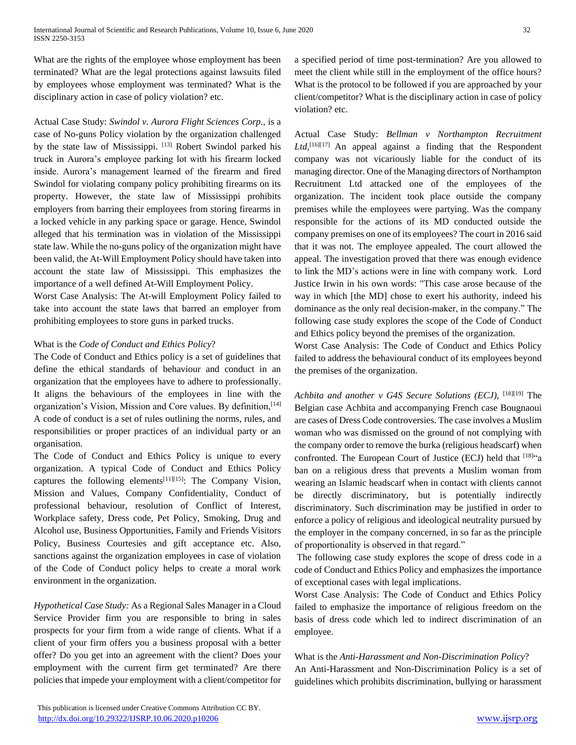What are the rights of the employee whose employment has been terminated? What are the legal protections against lawsuits filed by employees whose employment was terminated? What is the disciplinary action in case of policy violation? etc.

Actual Case Study: *Swindol v. Aurora Flight Sciences Corp*., is a case of No-guns Policy violation by the organization challenged by the state law of Mississippi. [13] Robert Swindol parked his truck in Aurora's employee parking lot with his firearm locked inside. Aurora's management learned of the firearm and fired Swindol for violating company policy prohibiting firearms on its property. However, the state law of Mississippi prohibits employers from barring their employees from storing firearms in a locked vehicle in any parking space or garage. Hence, Swindol alleged that his termination was in violation of the Mississippi state law. While the no-guns policy of the organization might have been valid, the At-Will Employment Policy should have taken into account the state law of Mississippi. This emphasizes the importance of a well defined At-Will Employment Policy.

Worst Case Analysis: The At-will Employment Policy failed to take into account the state laws that barred an employer from prohibiting employees to store guns in parked trucks.

## What is the *Code of Conduct and Ethics Policy*?

The Code of Conduct and Ethics policy is a set of guidelines that define the ethical standards of behaviour and conduct in an organization that the employees have to adhere to professionally. It aligns the behaviours of the employees in line with the organization's Vision, Mission and Core values. By definition, [14] A code of conduct is a set of rules outlining the [norms,](https://en.wikipedia.org/wiki/Social_norm) rules, and responsibilities or proper practices of an individual party or an organisation.

The Code of Conduct and Ethics Policy is unique to every organization. A typical Code of Conduct and Ethics Policy captures the following elements<sup>[11][15]</sup>: The Company Vision, Mission and Values, Company Confidentiality, Conduct of professional behaviour, resolution of Conflict of Interest, Workplace safety, Dress code, Pet Policy, Smoking, Drug and Alcohol use, Business Opportunities, Family and Friends Visitors Policy, Business Courtesies and gift acceptance etc. Also, sanctions against the organization employees in case of violation of the Code of Conduct policy helps to create a moral work environment in the organization.

*Hypothetical Case Study:* As a Regional Sales Manager in a Cloud Service Provider firm you are responsible to bring in sales prospects for your firm from a wide range of clients. What if a client of your firm offers you a business proposal with a better offer? Do you get into an agreement with the client? Does your employment with the current firm get terminated? Are there policies that impede your employment with a client/competitor for a specified period of time post-termination? Are you allowed to meet the client while still in the employment of the office hours? What is the protocol to be followed if you are approached by your client/competitor? What is the disciplinary action in case of policy violation? etc.

Actual Case Study: *Bellman v Northampton Recruitment*  Ltd,<sup>[16][17]</sup> An appeal against a finding that the Respondent company was not vicariously liable for the conduct of its managing director. One of the Managing directors of Northampton Recruitment Ltd attacked one of the employees of the organization. The incident took place outside the company premises while the employees were partying. Was the company responsible for the actions of its MD conducted outside the company premises on one of its employees? The court in 2016 said that it was not. The employee appealed. The court allowed the appeal. The investigation proved that there was enough evidence to link the MD's actions were in line with company work. Lord Justice Irwin in his own words: "This case arose because of the way in which [the MD] chose to exert his authority, indeed his dominance as the only real decision-maker, in the company." The following case study explores the scope of the Code of Conduct and Ethics policy beyond the premises of the organization.

Worst Case Analysis: The Code of Conduct and Ethics Policy failed to address the behavioural conduct of its employees beyond the premises of the organization.

*[Achbita and another v G4S Secure Solutions \(ECJ\)](http://www.xperthr.co.uk/law-reports/indirect-discrimination-religious-dress-ban-for-public-facing-roles-can-be-justified/161975/?cmpid=ILC%7CPROF%7CHRPIO-2013-110-XHR_free_content_links%7Cptod_article&sfid=701w0000000uNMa)*, [18][19] The Belgian case Achbita and accompanying French case [Bougnaoui](http://www.xperthr.co.uk/law-reports/indirect-discrimination-religious-dress-ban-for-public-facing-roles-can-be-justified/161975/?cmpid=ILC%7CPROF%7CHRPIO-2013-110-XHR_free_content_links%7Cptod_article&sfid=701w0000000uNMa) are cases of Dress Code controversies. The case involves a Muslim woman who was dismissed on the ground of not complying with the company order to remove the burka (religious headscarf) when confronted. The European Court of Justice (ECJ) held that  $[18]$ <sup>"a</sup> ban on a religious dress that prevents a Muslim woman from wearing an Islamic headscarf when in contact with clients cannot be directly discriminatory, but is potentially indirectly discriminatory. Such discrimination may be justified in order to enforce a policy of religious and ideological neutrality pursued by the employer in the company concerned, in so far as the principle of proportionality is observed in that regard."

The following case study explores the scope of dress code in a code of Conduct and Ethics Policy and emphasizes the importance of exceptional cases with legal implications.

Worst Case Analysis: The Code of Conduct and Ethics Policy failed to emphasize the importance of religious freedom on the basis of dress code which led to indirect discrimination of an employee.

What is the *Anti-Harassment and Non-Discrimination Policy*? An Anti-Harassment and Non-Discrimination Policy is a set of guidelines which prohibits discrimination, bullying or harassment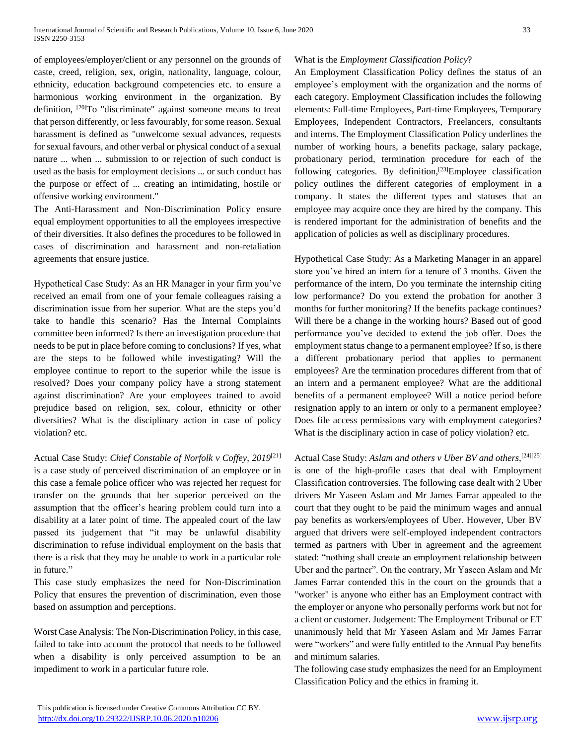of employees/employer/client or any personnel on the grounds of caste, creed, religion, sex, origin, nationality, language, colour, ethnicity, education background competencies etc. to ensure a harmonious working environment in the organization. By definition, <sup>[20]</sup>To "discriminate" against someone means to treat that person differently, or less favourably, for some reason. Sexual harassment is defined as "unwelcome sexual advances, requests for sexual favours, and other verbal or physical conduct of a sexual nature ... when ... submission to or rejection of such conduct is used as the basis for employment decisions ... or such conduct has the purpose or effect of ... creating an intimidating, hostile or offensive working environment."

The Anti-Harassment and Non-Discrimination Policy ensure equal employment opportunities to all the employees irrespective of their diversities. It also defines the procedures to be followed in cases of discrimination and harassment and non-retaliation agreements that ensure justice.

Hypothetical Case Study: As an HR Manager in your firm you've received an email from one of your female colleagues raising a discrimination issue from her superior. What are the steps you'd take to handle this scenario? Has the Internal Complaints committee been informed? Is there an investigation procedure that needs to be put in place before coming to conclusions? If yes, what are the steps to be followed while investigating? Will the employee continue to report to the superior while the issue is resolved? Does your company policy have a strong statement against discrimination? Are your employees trained to avoid prejudice based on religion, sex, colour, ethnicity or other diversities? What is the disciplinary action in case of policy violation? etc.

Actual Case Study: *Chief Constable of Norfolk v Coffey, 2019*[21] is a case study of perceived discrimination of an employee or in this case a female police officer who was rejected her request for transfer on the grounds that her superior perceived on the assumption that the officer's hearing problem could turn into a disability at a later point of time. The appealed court of the law passed its judgement that "it may be unlawful disability discrimination to refuse individual employment on the basis that there is a risk that they may be unable to work in a particular role in future."

This case study emphasizes the need for Non-Discrimination Policy that ensures the prevention of discrimination, even those based on assumption and perceptions.

Worst Case Analysis: The Non-Discrimination Policy, in this case, failed to take into account the protocol that needs to be followed when a disability is only perceived assumption to be an impediment to work in a particular future role.

## What is the *Employment Classification Policy*?

An Employment Classification Policy defines the status of an employee's employment with the organization and the norms of each category. Employment Classification includes the following elements: Full-time Employees, Part-time Employees, Temporary Employees, Independent Contractors, Freelancers, consultants and interns. The Employment Classification Policy underlines the number of working hours, a benefits package, salary package, probationary period, termination procedure for each of the following categories. By definition,<sup>[23]</sup>Employee classification policy outlines the different categories of employment in a company. It states the different types and statuses that an employee may acquire once they are hired by the company. This is rendered important for the administration of benefits and the application of policies as well as disciplinary procedures.

Hypothetical Case Study: As a Marketing Manager in an apparel store you've hired an intern for a tenure of 3 months. Given the performance of the intern, Do you terminate the internship citing low performance? Do you extend the probation for another 3 months for further monitoring? If the benefits package continues? Will there be a change in the working hours? Based out of good performance you've decided to extend the job offer. Does the employment status change to a permanent employee? If so, is there a different probationary period that applies to permanent employees? Are the termination procedures different from that of an intern and a permanent employee? What are the additional benefits of a permanent employee? Will a notice period before resignation apply to an intern or only to a permanent employee? Does file access permissions vary with employment categories? What is the disciplinary action in case of policy violation? etc.

Actual Case Study: *Aslam and others v Uber BV and others,*[24][25] is one of the high-profile cases that deal with Employment Classification controversies. The following case dealt with 2 Uber drivers Mr Yaseen Aslam and Mr James Farrar appealed to the court that they ought to be paid the minimum wages and annual pay benefits as workers/employees of Uber. However, Uber BV argued that drivers were self-employed independent contractors termed as partners with Uber in agreement and the agreement stated: "nothing shall create an employment relationship between Uber and the partner". On the contrary, Mr Yaseen Aslam and Mr James Farrar contended this in the court on the grounds that a "worker" is anyone who either has an Employment contract with the employer or anyone who personally performs work but not for a client or customer. Judgement: The Employment Tribunal or ET unanimously held that Mr Yaseen Aslam and Mr James Farrar were "workers" and were fully entitled to the Annual Pay benefits and minimum salaries.

The following case study emphasizes the need for an Employment Classification Policy and the ethics in framing it.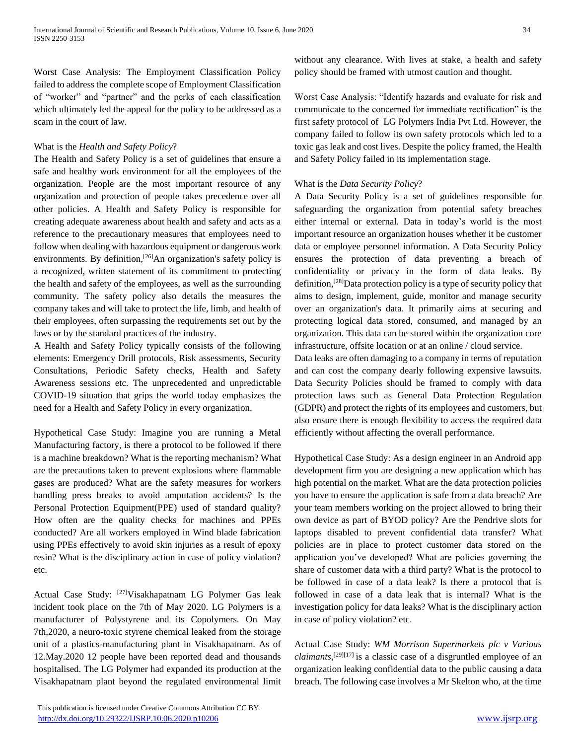Worst Case Analysis: The Employment Classification Policy failed to address the complete scope of Employment Classification of "worker" and "partner" and the perks of each classification which ultimately led the appeal for the policy to be addressed as a scam in the court of law.

## What is the *Health and Safety Policy*?

The Health and Safety Policy is a set of guidelines that ensure a safe and healthy work environment for all the employees of the organization. People are the most important resource of any organization and protection of people takes precedence over all other policies. A Health and Safety Policy is responsible for creating adequate awareness about health and safety and acts as a reference to the precautionary measures that employees need to follow when dealing with hazardous equipment or dangerous work environments. By definition,<sup>[26]</sup>An organization's safety policy is a recognized, written statement of its commitment to protecting the health and safety of the employees, as well as the surrounding community. The safety policy also details the measures the company takes and will take to protect the life, limb, and health of their employees, often surpassing the requirements set out by the laws or by the standard practices of the industry.

A Health and Safety Policy typically consists of the following elements: Emergency Drill protocols, Risk assessments, Security Consultations, Periodic Safety checks, Health and Safety Awareness sessions etc. The unprecedented and unpredictable COVID-19 situation that grips the world today emphasizes the need for a Health and Safety Policy in every organization.

Hypothetical Case Study: Imagine you are running a Metal Manufacturing factory, is there a protocol to be followed if there is a machine breakdown? What is the reporting mechanism? What are the precautions taken to prevent explosions where flammable gases are produced? What are the safety measures for workers handling press breaks to avoid amputation accidents? Is the Personal Protection Equipment(PPE) used of standard quality? How often are the quality checks for machines and PPEs conducted? Are all workers employed in Wind blade fabrication using PPEs effectively to avoid skin injuries as a result of epoxy resin? What is the disciplinary action in case of policy violation? etc.

Actual Case Study: [27]Visakhapatnam LG Polymer Gas leak incident took place on the 7th of May 2020. LG Polymers is a manufacturer of Polystyrene and its Copolymers. On May 7th,2020, a neuro-toxic styrene chemical leaked from the storage unit of a plastics-manufacturing plant in Visakhapatnam. As of 12.May.2020 12 people have been reported dead and thousands hospitalised. The LG Polymer had expanded its production at the Visakhapatnam plant beyond the regulated environmental limit without any clearance. With lives at stake, a health and safety policy should be framed with utmost caution and thought.

Worst Case Analysis: "Identify hazards and evaluate for risk and communicate to the concerned for immediate rectification" is the first safety protocol of LG Polymers India Pvt Ltd. However, the company failed to follow its own safety protocols which led to a toxic gas leak and cost lives. Despite the policy framed, the Health and Safety Policy failed in its implementation stage.

## What is the *Data Security Policy*?

A Data Security Policy is a set of guidelines responsible for safeguarding the organization from potential safety breaches either internal or external. Data in today's world is the most important resource an organization houses whether it be customer data or employee personnel information. A Data Security Policy ensures the protection of data preventing a breach of confidentiality or privacy in the form of data leaks. By definition,[28]Data protection policy is a type of security policy that aims to design, implement, guide, monitor and manage security over an organization's data. It primarily aims at securing and protecting logical data stored, consumed, and managed by an organization. This data can be stored within the organization core infrastructure, offsite location or at an online / cloud service.

Data leaks are often damaging to a company in terms of reputation and can cost the company dearly following expensive lawsuits. Data Security Policies should be framed to comply with data protection laws such as General Data Protection Regulation (GDPR) and protect the rights of its employees and customers, but also ensure there is enough flexibility to access the required data efficiently without affecting the overall performance.

Hypothetical Case Study: As a design engineer in an Android app development firm you are designing a new application which has high potential on the market. What are the data protection policies you have to ensure the application is safe from a data breach? Are your team members working on the project allowed to bring their own device as part of BYOD policy? Are the Pendrive slots for laptops disabled to prevent confidential data transfer? What policies are in place to protect customer data stored on the application you've developed? What are policies governing the share of customer data with a third party? What is the protocol to be followed in case of a data leak? Is there a protocol that is followed in case of a data leak that is internal? What is the investigation policy for data leaks? What is the disciplinary action in case of policy violation? etc.

Actual Case Study: *WM Morrison Supermarkets plc v Various claimants*, [29][17] is a classic case of a disgruntled employee of an organization leaking confidential data to the public causing a data breach. The following case involves a Mr Skelton who, at the time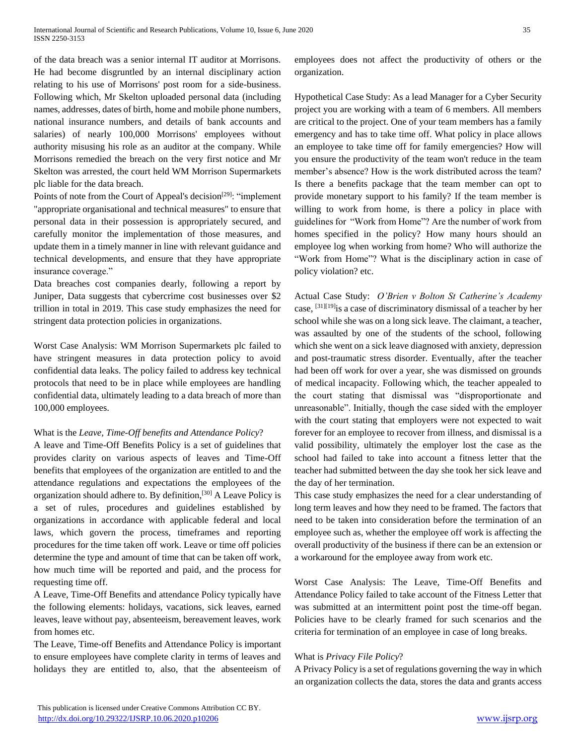of the data breach was a senior internal IT auditor at Morrisons. He had become disgruntled by an internal disciplinary action relating to his use of Morrisons' post room for a side-business. Following which, Mr Skelton uploaded personal data (including names, addresses, dates of birth, home and mobile phone numbers, national insurance numbers, and details of bank accounts and salaries) of nearly 100,000 Morrisons' employees without authority misusing his role as an auditor at the company. While Morrisons remedied the breach on the very first notice and Mr Skelton was arrested, the court held WM Morrison Supermarkets plc liable for the data breach.

Points of note from the Court of Appeal's decision<sup>[29]</sup>: "implement "appropriate organisational and technical measures" to ensure that personal data in their possession is appropriately secured, and carefully monitor the implementation of those measures, and update them in a timely manner in line with relevant guidance and technical developments, and ensure that they have appropriate insurance coverage."

Data breaches cost companies dearly, following a report by Juniper, Data suggests that cybercrime cost businesses over \$2 trillion in total in 2019. This case study emphasizes the need for stringent data protection policies in organizations.

Worst Case Analysis: WM Morrison Supermarkets plc failed to have stringent measures in data protection policy to avoid confidential data leaks. The policy failed to address key technical protocols that need to be in place while employees are handling confidential data, ultimately leading to a data breach of more than 100,000 employees.

#### What is the *Leave, Time-Off benefits and Attendance Policy*?

A leave and Time-Off Benefits Policy is a set of guidelines that provides clarity on various aspects of leaves and Time-Off benefits that employees of the organization are entitled to and the attendance regulations and expectations the employees of the organization should adhere to. By definition,[30] A Leave Policy is a set of rules, procedures and guidelines established by organizations in accordance with applicable federal and local laws, which govern the process, timeframes and reporting procedures for the time taken off work. Leave or time off policies determine the type and amount of time that can be taken off work, how much time will be reported and paid, and the process for requesting time off.

A Leave, Time-Off Benefits and attendance Policy typically have the following elements: holidays, vacations, sick leaves, earned leaves, leave without pay, absenteeism, bereavement leaves, work from homes etc.

The Leave, Time-off Benefits and Attendance Policy is important to ensure employees have complete clarity in terms of leaves and holidays they are entitled to, also, that the absenteeism of employees does not affect the productivity of others or the organization.

Hypothetical Case Study: As a lead Manager for a Cyber Security project you are working with a team of 6 members. All members are critical to the project. One of your team members has a family emergency and has to take time off. What policy in place allows an employee to take time off for family emergencies? How will you ensure the productivity of the team won't reduce in the team member's absence? How is the work distributed across the team? Is there a benefits package that the team member can opt to provide monetary support to his family? If the team member is willing to work from home, is there a policy in place with guidelines for "Work from Home"? Are the number of work from homes specified in the policy? How many hours should an employee log when working from home? Who will authorize the "Work from Home"? What is the disciplinary action in case of policy violation? etc.

Actual Case Study: *O'Brien v Bolton St Catherine's Academy*  case, [31][19]is a case of discriminatory dismissal of a teacher by her school while she was on a long sick leave. The claimant, a teacher, was assaulted by one of the students of the school, following which she went on a sick leave diagnosed with anxiety, depression and post-traumatic stress disorder. Eventually, after the teacher had been off work for over a year, she was dismissed on grounds of medical incapacity. Following which, the teacher appealed to the court stating that dismissal was "disproportionate and unreasonable". Initially, though the case sided with the employer with the court stating that employers were not expected to wait forever for an employee to recover from illness, and dismissal is a valid possibility, ultimately the employer lost the case as the school had failed to take into account a fitness letter that the teacher had submitted between the day she took her sick leave and the day of her termination.

This case study emphasizes the need for a clear understanding of long term leaves and how they need to be framed. The factors that need to be taken into consideration before the termination of an employee such as, whether the employee off work is affecting the overall productivity of the business if there can be an extension or a workaround for the employee away from work etc.

Worst Case Analysis: The Leave, Time-Off Benefits and Attendance Policy failed to take account of the Fitness Letter that was submitted at an intermittent point post the time-off began. Policies have to be clearly framed for such scenarios and the criteria for termination of an employee in case of long breaks.

#### What is *Privacy File Policy*?

A Privacy Policy is a set of regulations governing the way in which an organization collects the data, stores the data and grants access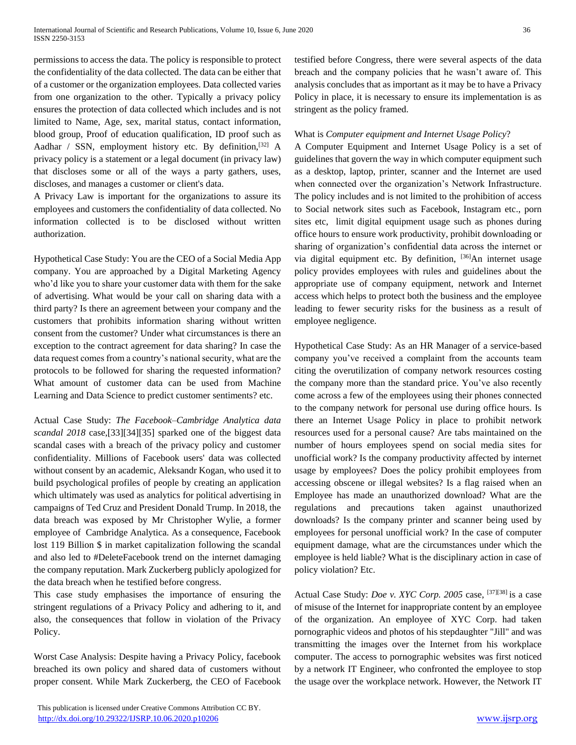permissions to access the data. The policy is responsible to protect the confidentiality of the data collected. The data can be either that of a customer or the organization employees. Data collected varies from one organization to the other. Typically a privacy policy ensures the protection of data collected which includes and is not limited to Name, Age, sex, marital status, contact information, blood group, Proof of education qualification, ID proof such as Aadhar / SSN, employment history etc. By definition,  $[32]$  A privacy policy is a statement or a legal document (in privacy law) that discloses some or all of the ways a party gathers, uses, discloses, and manages a customer or client's data.

A Privacy Law is important for the organizations to assure its employees and customers the confidentiality of data collected. No information collected is to be disclosed without written authorization.

Hypothetical Case Study: You are the CEO of a Social Media App company. You are approached by a Digital Marketing Agency who'd like you to share your customer data with them for the sake of advertising. What would be your call on sharing data with a third party? Is there an agreement between your company and the customers that prohibits information sharing without written consent from the customer? Under what circumstances is there an exception to the contract agreement for data sharing? In case the data request comes from a country's national security, what are the protocols to be followed for sharing the requested information? What amount of customer data can be used from Machine Learning and Data Science to predict customer sentiments? etc.

Actual Case Study: *The Facebook–Cambridge Analytica data scandal 2018* case,[33][34][35] sparked one of the biggest data scandal cases with a breach of the privacy policy and customer confidentiality. Millions of Facebook users' data was collected without consent by an academic, Aleksandr Kogan, who used it to build psychological profiles of people by creating an application which ultimately was used as analytics for political advertising in campaigns of Ted Cruz and President Donald Trump. In 2018, the data breach was exposed by Mr Christopher Wylie, a former employee of Cambridge Analytica. As a consequence, Facebook lost 119 Billion \$ in market capitalization following the scandal and also led to #DeleteFacebook trend on the internet damaging the company reputation. Mark Zuckerberg publicly apologized for the data breach when he testified before congress.

This case study emphasises the importance of ensuring the stringent regulations of a Privacy Policy and adhering to it, and also, the consequences that follow in violation of the Privacy Policy.

Worst Case Analysis: Despite having a Privacy Policy, facebook breached its own policy and shared data of customers without proper consent. While Mark Zuckerberg, the CEO of Facebook testified before Congress, there were several aspects of the data breach and the company policies that he wasn't aware of. This analysis concludes that as important as it may be to have a Privacy Policy in place, it is necessary to ensure its implementation is as stringent as the policy framed.

## What is *Computer equipment and Internet Usage Policy*?

A Computer Equipment and Internet Usage Policy is a set of guidelines that govern the way in which computer equipment such as a desktop, laptop, printer, scanner and the Internet are used when connected over the organization's Network Infrastructure. The policy includes and is not limited to the prohibition of access to Social network sites such as Facebook, Instagram etc., porn sites etc, limit digital equipment usage such as phones during office hours to ensure work productivity, prohibit downloading or sharing of organization's confidential data across the internet or via digital equipment etc. By definition, [36]An internet usage policy provides employees with rules and guidelines about the appropriate use of company equipment, network and Internet access which helps to protect both the business and the employee leading to fewer security risks for the business as a result of employee negligence.

Hypothetical Case Study: As an HR Manager of a service-based company you've received a complaint from the accounts team citing the overutilization of company network resources costing the company more than the standard price. You've also recently come across a few of the employees using their phones connected to the company network for personal use during office hours. Is there an Internet Usage Policy in place to prohibit network resources used for a personal cause? Are tabs maintained on the number of hours employees spend on social media sites for unofficial work? Is the company productivity affected by internet usage by employees? Does the policy prohibit employees from accessing obscene or illegal websites? Is a flag raised when an Employee has made an unauthorized download? What are the regulations and precautions taken against unauthorized downloads? Is the company printer and scanner being used by employees for personal unofficial work? In the case of computer equipment damage, what are the circumstances under which the employee is held liable? What is the disciplinary action in case of policy violation? Etc.

Actual Case Study: *Doe v. XYC Corp.* 2005 case, <sup>[37][38]</sup> is a case of misuse of the Internet for inappropriate content by an employee of the organization. An employee of XYC Corp. had taken pornographic videos and photos of his stepdaughter "Jill" and was transmitting the images over the Internet from his workplace computer. The access to pornographic websites was first noticed by a network IT Engineer, who confronted the employee to stop the usage over the workplace network. However, the Network IT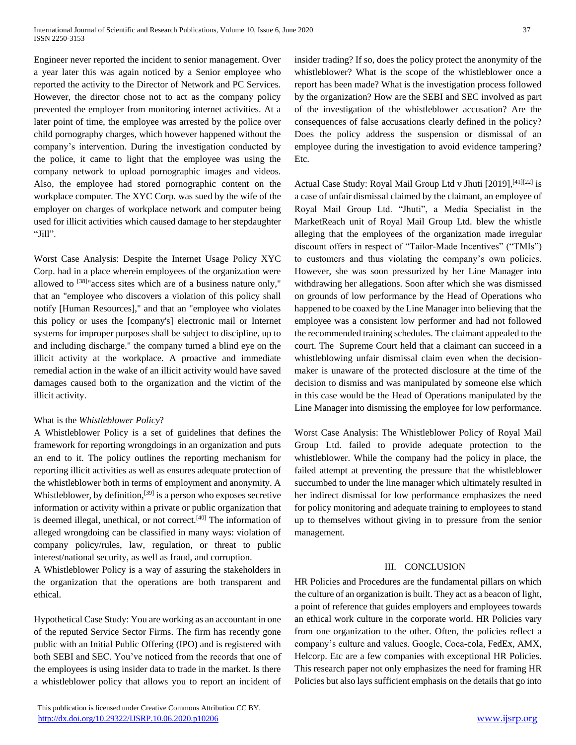Engineer never reported the incident to senior management. Over a year later this was again noticed by a Senior employee who reported the activity to the Director of Network and PC Services. However, the director chose not to act as the company policy prevented the employer from monitoring internet activities. At a later point of time, the employee was arrested by the police over child pornography charges, which however happened without the company's intervention. During the investigation conducted by the police, it came to light that the employee was using the company network to upload pornographic images and videos. Also, the employee had stored pornographic content on the workplace computer. The XYC Corp. was sued by the wife of the employer on charges of workplace network and computer being used for illicit activities which caused damage to her stepdaughter "Jill".

Worst Case Analysis: Despite the Internet Usage Policy XYC Corp. had in a place wherein employees of the organization were allowed to [38]"access sites which are of a business nature only," that an "employee who discovers a violation of this policy shall notify [Human Resources]," and that an "employee who violates this policy or uses the [company's] electronic mail or Internet systems for improper purposes shall be subject to discipline, up to and including discharge." the company turned a blind eye on the illicit activity at the workplace. A proactive and immediate remedial action in the wake of an illicit activity would have saved damages caused both to the organization and the victim of the illicit activity.

#### What is the *Whistleblower Policy*?

A Whistleblower Policy is a set of guidelines that defines the framework for reporting wrongdoings in an organization and puts an end to it. The policy outlines the reporting mechanism for reporting illicit activities as well as ensures adequate protection of the whistleblower both in terms of employment and anonymity. A Whistleblower, by definition,<sup>[39]</sup> is a person who exposes secretive information or activity within a private or public organization that is deemed illegal, unethical, or not correct. $[40]$  The information of alleged wrongdoing can be classified in many ways: violation of company policy/rules, law, regulation, or threat to public interest/national security, as well as fraud, and corruption.

A Whistleblower Policy is a way of assuring the stakeholders in the organization that the operations are both transparent and ethical.

Hypothetical Case Study: You are working as an accountant in one of the reputed Service Sector Firms. The firm has recently gone public with an Initial Public Offering (IPO) and is registered with both SEBI and SEC. You've noticed from the records that one of the employees is using insider data to trade in the market. Is there a whistleblower policy that allows you to report an incident of insider trading? If so, does the policy protect the anonymity of the whistleblower? What is the scope of the whistleblower once a report has been made? What is the investigation process followed by the organization? How are the SEBI and SEC involved as part of the investigation of the whistleblower accusation? Are the consequences of false accusations clearly defined in the policy? Does the policy address the suspension or dismissal of an employee during the investigation to avoid evidence tampering? Etc.

Actual Case Study: Royal Mail Group Ltd v Jhuti [2019],<sup>[41][22]</sup> is a case of unfair dismissal claimed by the claimant, an employee of Royal Mail Group Ltd. "Jhuti", a Media Specialist in the MarketReach unit of Royal Mail Group Ltd. blew the whistle alleging that the employees of the organization made irregular discount offers in respect of "Tailor-Made Incentives" ("TMIs") to customers and thus violating the company's own policies. However, she was soon pressurized by her Line Manager into withdrawing her allegations. Soon after which she was dismissed on grounds of low performance by the Head of Operations who happened to be coaxed by the Line Manager into believing that the employee was a consistent low performer and had not followed the recommended training schedules. The claimant appealed to the court. The Supreme Court held that a claimant can succeed in a whistleblowing unfair dismissal claim even when the decisionmaker is unaware of the protected disclosure at the time of the decision to dismiss and was manipulated by someone else which in this case would be the Head of Operations manipulated by the Line Manager into dismissing the employee for low performance.

Worst Case Analysis: The Whistleblower Policy of Royal Mail Group Ltd. failed to provide adequate protection to the whistleblower. While the company had the policy in place, the failed attempt at preventing the pressure that the whistleblower succumbed to under the line manager which ultimately resulted in her indirect dismissal for low performance emphasizes the need for policy monitoring and adequate training to employees to stand up to themselves without giving in to pressure from the senior management.

#### III. CONCLUSION

HR Policies and Procedures are the fundamental pillars on which the culture of an organization is built. They act as a beacon of light, a point of reference that guides employers and employees towards an ethical work culture in the corporate world. HR Policies vary from one organization to the other. Often, the policies reflect a company's culture and values. Google, Coca-cola, FedEx, AMX, Helcorp. Etc are a few companies with exceptional HR Policies. This research paper not only emphasizes the need for framing HR Policies but also lays sufficient emphasis on the details that go into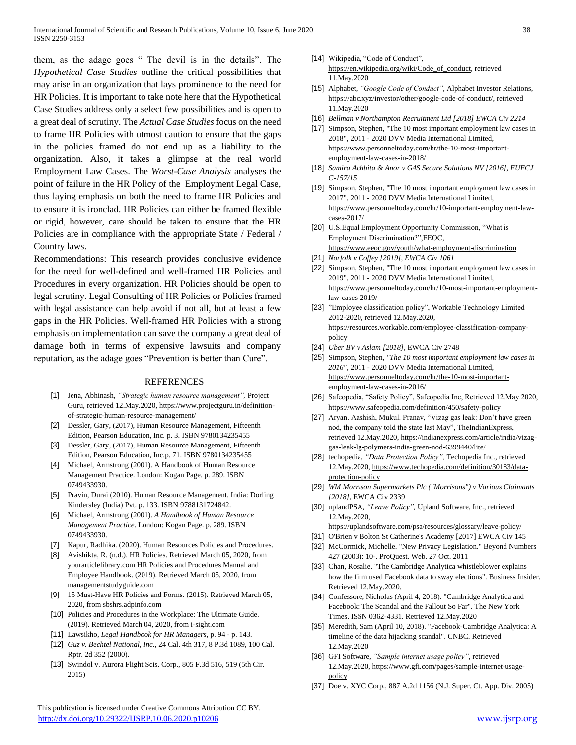them, as the adage goes " The devil is in the details". The *Hypothetical Case Studies* outline the critical possibilities that may arise in an organization that lays prominence to the need for HR Policies. It is important to take note here that the Hypothetical Case Studies address only a select few possibilities and is open to a great deal of scrutiny. The *Actual Case Studies* focus on the need to frame HR Policies with utmost caution to ensure that the gaps in the policies framed do not end up as a liability to the organization. Also, it takes a glimpse at the real world Employment Law Cases. The *Worst-Case Analysis* analyses the point of failure in the HR Policy of the Employment Legal Case, thus laying emphasis on both the need to frame HR Policies and to ensure it is ironclad. HR Policies can either be framed flexible or rigid, however, care should be taken to ensure that the HR Policies are in compliance with the appropriate State / Federal / Country laws.

Recommendations: This research provides conclusive evidence for the need for well-defined and well-framed HR Policies and Procedures in every organization. HR Policies should be open to legal scrutiny. Legal Consulting of HR Policies or Policies framed with legal assistance can help avoid if not all, but at least a few gaps in the HR Policies. Well-framed HR Policies with a strong emphasis on implementation can save the company a great deal of damage both in terms of expensive lawsuits and company reputation, as the adage goes "Prevention is better than Cure".

#### REFERENCES

- [1] Jena, Abhinash, *"Strategic human resource management",* Project Guru, retrieved 12.May.2020, https://www.projectguru.in/definitionof-strategic-human-resource-management/
- [2] Dessler, Gary, (2017), Human Resource Management, Fifteenth Edition, Pearson Education, Inc. p. 3. ISBN 9780134235455
- [3] Dessler, Gary, (2017), Human Resource Management, Fifteenth Edition, Pearson Education, Inc.p. 71. ISBN 9780134235455
- [4] Michael, Armstrong (2001). A Handbook of Human Resource Management Practice. London: Kogan Page. p. 289[. ISBN](https://en.wikipedia.org/wiki/ISBN_(identifier)) [0749433930.](https://en.wikipedia.org/wiki/Special:BookSources/0749433930)
- [5] Pravin, Durai (2010). Human Resource Management. India: Dorling Kindersley (India) Pvt. p. 133[. ISBN](https://en.wikipedia.org/wiki/ISBN_(identifier)) [9788131724842.](https://en.wikipedia.org/wiki/Special:BookSources/9788131724842)
- [6] Michael, Armstrong (2001). *A Handbook of Human Resource Management Practice*. London: Kogan Page. p. 289. [ISBN](https://en.wikipedia.org/wiki/ISBN_(identifier)) [0749433930.](https://en.wikipedia.org/wiki/Special:BookSources/0749433930)
- [7] Kapur, Radhika. (2020). Human Resources Policies and Procedures.
- [8] Avishikta, R. (n.d.). HR Policies. Retrieved March 05, 2020, from yourarticlelibrary.com HR Policies and Procedures Manual and Employee Handbook. (2019). Retrieved March 05, 2020, from managementstudyguide.com
- [9] 15 Must-Have HR Policies and Forms. (2015). Retrieved March 05, 2020, from sbshrs.adpinfo.com
- [10] Policies and Procedures in the Workplace: The Ultimate Guide. (2019). Retrieved March 04, 2020, from i-sight.com
- [11] Lawsikho, *Legal Handbook for HR Managers,* p. 94 p. 143*.*
- [12] *Guz v. Bechtel National, Inc.*[, 24 Cal. 4th 317, 8 P.3d 1089, 100 Cal.](http://online.ceb.com/CalCases/C4/24C4t317.htm)  [Rptr. 2d 352](http://online.ceb.com/CalCases/C4/24C4t317.htm) (2000).
- [13] Swindol v. Aurora Flight Scis. Corp., 805 F.3d 516, 519 (5th Cir. 2015)

 This publication is licensed under Creative Commons Attribution CC BY. <http://dx.doi.org/10.29322/IJSRP.10.06.2020.p10206> [www.ijsrp.org](http://ijsrp.org/)

- [14] Wikipedia, "Code of Conduct", [https://en.wikipedia.org/wiki/Code\\_of\\_conduct,](https://en.wikipedia.org/wiki/Code_of_conduct) retrieved 11.May.2020
- [15] Alphabet, *"Google Code of Conduct"*, Alphabet Investor Relations, [https://abc.xyz/investor/other/google-code-of-conduct/,](https://abc.xyz/investor/other/google-code-of-conduct/) retrieved 11.May.2020
- [16] *Bellman v Northampton Recruitment Ltd [2018] EWCA Civ 2214*
- [17] Simpson, Stephen, "The 10 most important employment law cases in 2018", 2011 - 2020 DVV Media International Limited, [https://www.personneltoday.com/hr/the-10-most-important](https://www.personneltoday.com/hr/the-10-most-important-employment-law-cases-in-2018/)[employment-law-cases-in-2018/](https://www.personneltoday.com/hr/the-10-most-important-employment-law-cases-in-2018/)
- [18] *Samira Achbita & Anor v G4S Secure Solutions NV [2016], EUECJ C-157/15*
- [19] Simpson, Stephen, "The 10 most important employment law cases in 2017", 2011 - 2020 DVV Media International Limited[,](https://www.personneltoday.com/hr/10-important-employment-law-cases-2017/) [https://www.personneltoday.com/hr/10-important-employment-law](https://www.personneltoday.com/hr/10-important-employment-law-cases-2017/)[cases-2017/](https://www.personneltoday.com/hr/10-important-employment-law-cases-2017/)
- [20] U.S.Equal Employment Opportunity Commission, "What is Employment Discrimination?",EEOC, <https://www.eeoc.gov/youth/what-employment-discrimination>
- [21] *Norfolk v Coffey [2019], EWCA Civ 1061*
- [22] Simpson, Stephen, "The 10 most important employment law cases in 2019", 2011 - 2020 DVV Media International Limited[,](https://www.personneltoday.com/hr/10-most-important-employment-law-cases-2019/) [https://www.personneltoday.com/hr/10-most-important-employment](https://www.personneltoday.com/hr/10-most-important-employment-law-cases-2019/)[law-cases-2019/](https://www.personneltoday.com/hr/10-most-important-employment-law-cases-2019/)
- [23] "Employee classification policy", Workable Technology Limited 2012-2020, retrieved 12.May.2020, [https://resources.workable.com/employee-classification-company](https://resources.workable.com/employee-classification-company-policy)[policy](https://resources.workable.com/employee-classification-company-policy)
- [24] *Uber BV v Aslam [\[2018\]](https://www.bailii.org/ew/cases/EWCA/Civ/2018/2748.html)*[, EWCA Civ 2748](https://www.bailii.org/ew/cases/EWCA/Civ/2018/2748.html)
- [25] Simpson, Stephen, *"The 10 most important employment law cases in 2016"*, 2011 - 2020 DVV Media International Limited, [https://www.personneltoday.com/hr/the-10-most-important](https://www.personneltoday.com/hr/the-10-most-important-employment-law-cases-in-2016/)[employment-law-cases-in-2016/](https://www.personneltoday.com/hr/the-10-most-important-employment-law-cases-in-2016/)
- [26] Safeopedia, "Safety Policy", Safeopedia Inc, Retrieved 12.May.2020, https://www.safeopedia.com/definition/450/safety-policy
- [27] Aryan. Aashish, Mukul. Pranav, "Vizag gas leak: Don't have green nod, the company told the state last May", TheIndianExpress, retrieved 12.May.2020, https://indianexpress.com/article/india/vizaggas-leak-lg-polymers-india-green-nod-6399440/lite/
- [28] techopedia, *"Data Protection Policy",* Techopedia Inc., retrieved 12.May.2020, [https://www.techopedia.com/definition/30183/data](https://www.techopedia.com/definition/30183/data-protection-policy)[protection-policy](https://www.techopedia.com/definition/30183/data-protection-policy)
- [29] *WM Morrison Supermarkets Plc ("Morrisons") v Various Claimants [2018]*, EWCA Civ 2339
- [30] uplandPSA, *"Leave Policy",* Upland Software, Inc., retrieved 12.May.2020,
	- <https://uplandsoftware.com/psa/resources/glossary/leave-policy/>
- [31] O'Brien v Bolton St Catherine's Academy [2017] EWCA Civ 145
- [32] McCormick, Michelle. "New Privacy Legislation." Beyond Numbers 427 (2003): 10-. ProQuest. Web. 27 Oct. 2011
- [33] Chan, Rosalie. "The Cambridge Analytica whistleblower explains how the firm used Facebook data to sway elections". Business Insider. Retrieved 12.May.2020.
- [34] Confessore, Nicholas (April 4, 2018). "Cambridge Analytica and Facebook: The Scandal and the Fallout So Far". The New York Times. ISSN 0362-4331. Retrieved 12.May.2020
- [35] Meredith, Sam (April 10, 2018). "Facebook-Cambridge Analytica: A timeline of the data hijacking scandal". CNBC. Retrieved 12.May.2020
- [36] GFI Software, *"Sample internet usage policy"*, retrieved 12.May.2020, [https://www.gfi.com/pages/sample-internet-usage](https://www.gfi.com/pages/sample-internet-usage-policy)[policy](https://www.gfi.com/pages/sample-internet-usage-policy)
- [37] Doe v. XYC Corp., 887 A.2d 1156 (N.J. Super. Ct. App. Div. 2005)